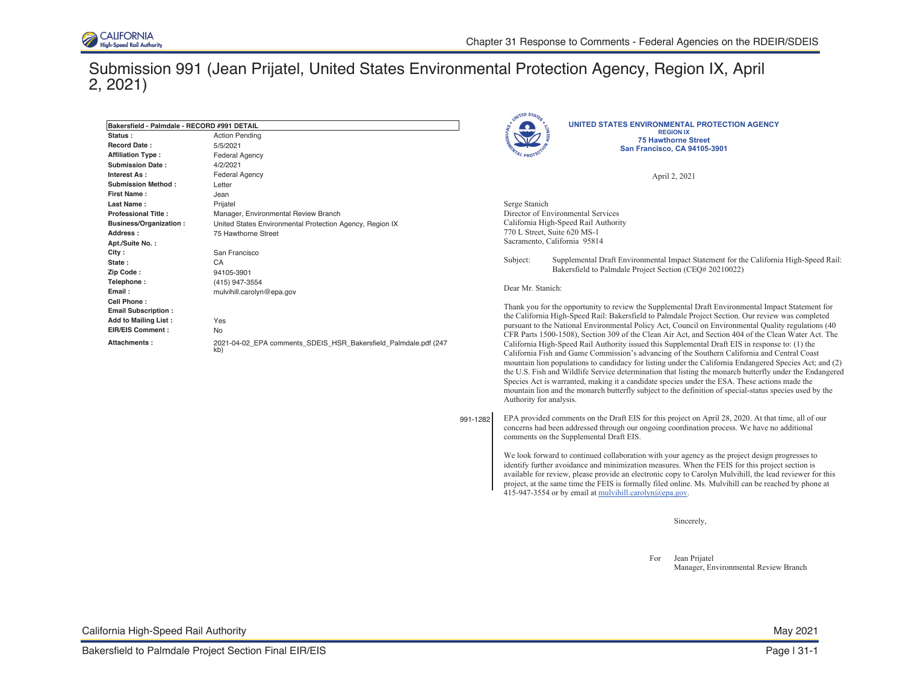

## Submission 991 (Jean Prijatel, United States Environmental Protection Agency, Region IX, April 2, 2021)

|                                             |                                                                 |          | UNITED STATES                                                                                   |                                                                                                                                                                                                    |  |
|---------------------------------------------|-----------------------------------------------------------------|----------|-------------------------------------------------------------------------------------------------|----------------------------------------------------------------------------------------------------------------------------------------------------------------------------------------------------|--|
| Bakersfield - Palmdale - RECORD #991 DETAIL |                                                                 |          |                                                                                                 | UNITED STATES ENVIRONMENTAL PROTECTION AGENCY                                                                                                                                                      |  |
| Status:                                     | <b>Action Pending</b>                                           |          |                                                                                                 | <b>REGION IX</b><br><b>75 Hawthorne Street</b>                                                                                                                                                     |  |
| Record Date:                                | 5/5/2021                                                        |          |                                                                                                 | San Francisco, CA 94105-3901                                                                                                                                                                       |  |
| <b>Affiliation Type:</b>                    | <b>Federal Agency</b>                                           |          |                                                                                                 |                                                                                                                                                                                                    |  |
| <b>Submission Date:</b>                     | 4/2/2021                                                        |          |                                                                                                 |                                                                                                                                                                                                    |  |
| Interest As :                               | <b>Federal Agency</b>                                           |          |                                                                                                 | April 2, 2021                                                                                                                                                                                      |  |
| <b>Submission Method:</b>                   | Letter                                                          |          |                                                                                                 |                                                                                                                                                                                                    |  |
| First Name:                                 | Jean                                                            |          |                                                                                                 |                                                                                                                                                                                                    |  |
| <b>Last Name :</b>                          | Prijatel                                                        |          | Serge Stanich                                                                                   |                                                                                                                                                                                                    |  |
| <b>Professional Title:</b>                  | Manager, Environmental Review Branch                            |          |                                                                                                 | Director of Environmental Services                                                                                                                                                                 |  |
| Business/Organization:                      | United States Environmental Protection Agency, Region IX        |          | California High-Speed Rail Authority<br>770 L Street, Suite 620 MS-1                            |                                                                                                                                                                                                    |  |
| Address :                                   | 75 Hawthorne Street                                             |          |                                                                                                 |                                                                                                                                                                                                    |  |
| Apt./Suite No.:                             |                                                                 |          |                                                                                                 | Sacramento, California 95814                                                                                                                                                                       |  |
| City :                                      | San Francisco                                                   |          |                                                                                                 |                                                                                                                                                                                                    |  |
| State :                                     | CA                                                              |          | Subject:                                                                                        | Supplemental Draft Environmental Impact Statement for the California High-Speed Rail:                                                                                                              |  |
| Zip Code:                                   | 94105-3901                                                      |          |                                                                                                 | Bakersfield to Palmdale Project Section (CEQ# 20210022)                                                                                                                                            |  |
| Telephone:                                  | (415) 947-3554                                                  |          |                                                                                                 |                                                                                                                                                                                                    |  |
| Email :                                     | mulvihill.carolyn@epa.gov                                       |          | Dear Mr. Stanich:                                                                               |                                                                                                                                                                                                    |  |
| Cell Phone:                                 |                                                                 |          |                                                                                                 | Thank you for the opportunity to review the Supplemental Draft Environmental Impact Statement for                                                                                                  |  |
| <b>Email Subscription:</b>                  |                                                                 |          |                                                                                                 | the California High-Speed Rail: Bakersfield to Palmdale Project Section. Our review was completed                                                                                                  |  |
| <b>Add to Mailing List:</b>                 | Yes                                                             |          |                                                                                                 | pursuant to the National Environmental Policy Act, Council on Environmental Quality regulations (40                                                                                                |  |
| EIR/EIS Comment :                           | <b>No</b>                                                       |          |                                                                                                 | CFR Parts 1500-1508), Section 309 of the Clean Air Act, and Section 404 of the Clean Water Act. The                                                                                                |  |
| Attachments :                               | 2021-04-02 EPA comments SDEIS HSR Bakersfield Palmdale.pdf (247 |          | California High-Speed Rail Authority issued this Supplemental Draft EIS in response to: (1) the |                                                                                                                                                                                                    |  |
|                                             | kb)                                                             |          |                                                                                                 | California Fish and Game Commission's advancing of the Southern California and Central Coast                                                                                                       |  |
|                                             |                                                                 |          |                                                                                                 | mountain lion populations to candidacy for listing under the California Endangered Species Act; and (2)                                                                                            |  |
|                                             |                                                                 |          |                                                                                                 | the U.S. Fish and Wildlife Service determination that listing the monarch butterfly under the Endangered                                                                                           |  |
|                                             |                                                                 |          |                                                                                                 | Species Act is warranted, making it a candidate species under the ESA. These actions made the                                                                                                      |  |
|                                             |                                                                 |          |                                                                                                 | mountain lion and the monarch butterfly subject to the definition of special-status species used by the                                                                                            |  |
|                                             |                                                                 |          | Authority for analysis.                                                                         |                                                                                                                                                                                                    |  |
|                                             |                                                                 |          |                                                                                                 |                                                                                                                                                                                                    |  |
|                                             |                                                                 | 991-1282 |                                                                                                 | EPA provided comments on the Draft EIS for this project on April 28, 2020. At that time, all of our                                                                                                |  |
|                                             |                                                                 |          |                                                                                                 | concerns had been addressed through our ongoing coordination process. We have no additional                                                                                                        |  |
|                                             |                                                                 |          |                                                                                                 | comments on the Supplemental Draft EIS.                                                                                                                                                            |  |
|                                             |                                                                 |          |                                                                                                 |                                                                                                                                                                                                    |  |
|                                             |                                                                 |          |                                                                                                 | We look forward to continued collaboration with your agency as the project design progresses to<br>identify further avoidance and minimization measures. When the FEIS for this project section is |  |
|                                             |                                                                 |          |                                                                                                 | available for review, please provide an electronic copy to Carolyn Mulvihill, the lead reviewer for this                                                                                           |  |
|                                             |                                                                 |          |                                                                                                 | project, at the same time the FEIS is formally filed online. Ms. Mulvihill can be reached by phone at                                                                                              |  |
|                                             |                                                                 |          |                                                                                                 | 415-947-3554 or by email at mulvihill.carolyn@epa.gov.                                                                                                                                             |  |
|                                             |                                                                 |          |                                                                                                 |                                                                                                                                                                                                    |  |
|                                             |                                                                 |          |                                                                                                 |                                                                                                                                                                                                    |  |
|                                             |                                                                 |          |                                                                                                 |                                                                                                                                                                                                    |  |

Sincerely,

For Jean Prijatel Manager, Environmental Review Branch

| California High-Speed Rail Authority | May 2021 |
|--------------------------------------|----------|
|--------------------------------------|----------|